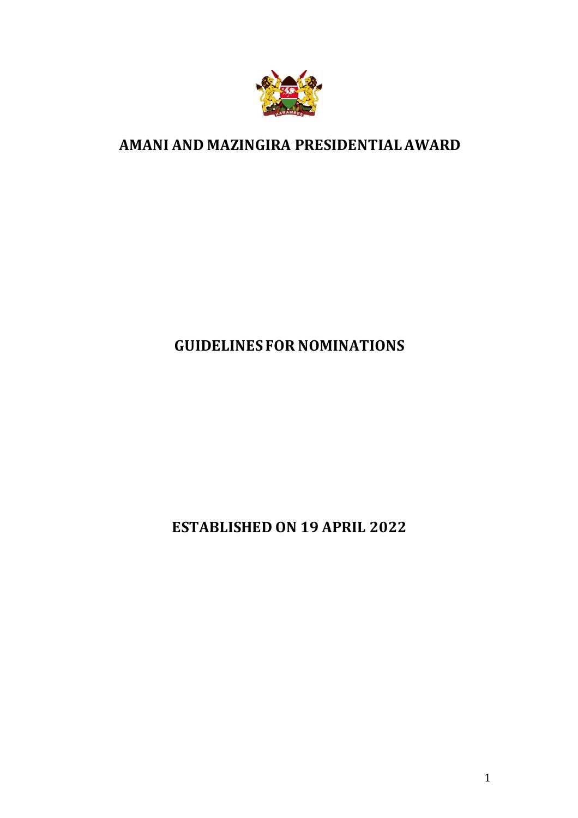

# **AMANI AND MAZINGIRA PRESIDENTIAL AWARD**

# **GUIDELINES FOR NOMINATIONS**

**ESTABLISHED ON 19 APRIL 2022**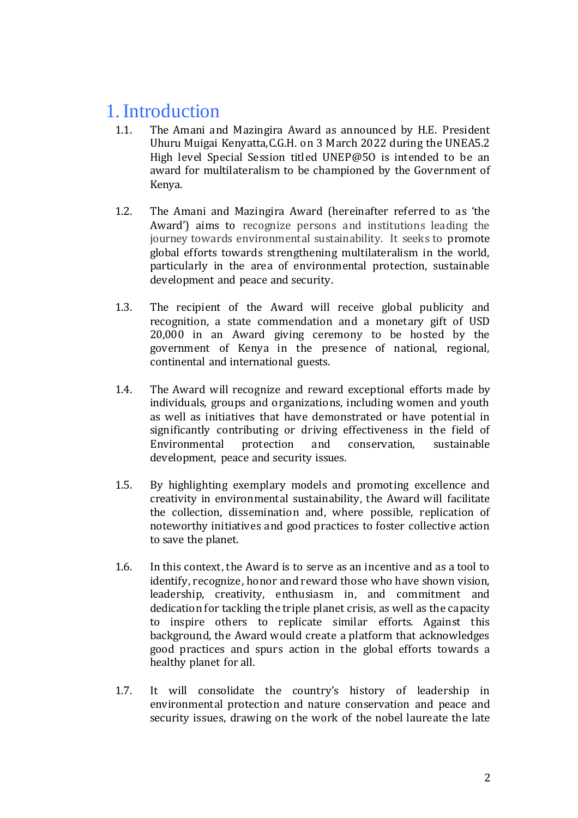# 1.Introduction

- 1.1. The Amani and Mazingira Award as announced by H.E. President Uhuru Muigai Kenyatta,C.G.H. on 3 March 2022 during the UNEA5.2 High level Special Session titled UNEP@5O is intended to be an award for multilateralism to be championed by the Government of Kenya.
- 1.2. The Amani and Mazingira Award (hereinafter referred to as 'the Award') aims to recognize persons and institutions leading the journey towards environmental sustainability. It seeks to promote global efforts towards strengthening multilateralism in the world, particularly in the area of environmental protection, sustainable development and peace and security.
- 1.3. The recipient of the Award will receive global publicity and recognition, a state commendation and a monetary gift of USD 20,000 in an Award giving ceremony to be hosted by the government of Kenya in the presence of national, regional, continental and international guests.
- 1.4. The Award will recognize and reward exceptional efforts made by individuals, groups and organizations, including women and youth as well as initiatives that have demonstrated or have potential in significantly contributing or driving effectiveness in the field of Environmental protection and conservation, sustainable development, peace and security issues.
- 1.5. By highlighting exemplary models and promoting excellence and creativity in environmental sustainability, the Award will facilitate the collection, dissemination and, where possible, replication of noteworthy initiatives and good practices to foster collective action to save the planet.
- 1.6. In this context, the Award is to serve as an incentive and as a tool to identify, recognize, honor and reward those who have shown vision, leadership, creativity, enthusiasm in, and commitment and dedication for tackling the triple planet crisis, as well as the capacity to inspire others to replicate similar efforts. Against this background, the Award would create a platform that acknowledges good practices and spurs action in the global efforts towards a healthy planet for all.
- 1.7. It will consolidate the country's history of leadership in environmental protection and nature conservation and peace and security issues, drawing on the work of the nobel laureate the late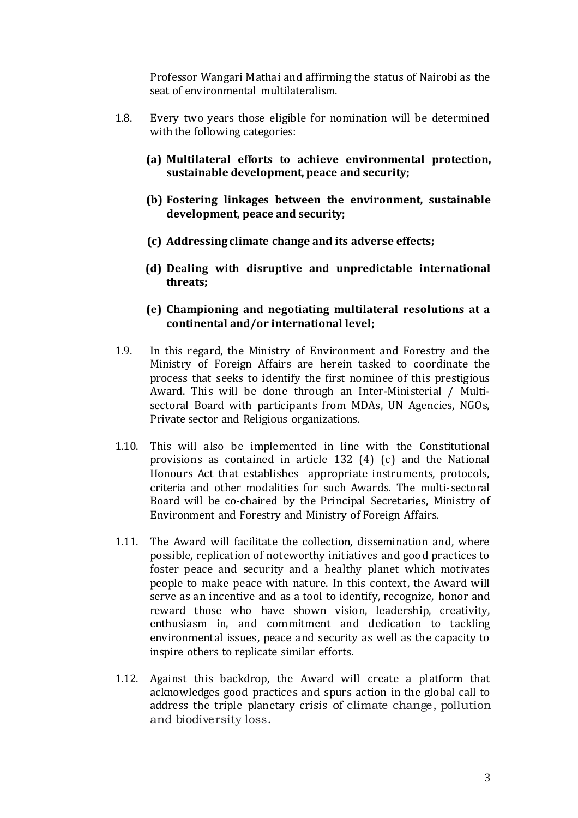Professor Wangari Mathai and affirming the status of Nairobi as the seat of environmental multilateralism.

- 1.8. Every two years those eligible for nomination will be determined with the following categories:
	- **(a) Multilateral efforts to achieve environmental protection, sustainable development, peace and security;**
	- **(b) Fostering linkages between the environment, sustainable development, peace and security;**
	- **(c) Addressing climate change and its adverse effects;**
	- **(d) Dealing with disruptive and unpredictable international threats;**
	- **(e) Championing and negotiating multilateral resolutions at a continental and/or international level;**
- 1.9. In this regard, the Ministry of Environment and Forestry and the Ministry of Foreign Affairs are herein tasked to coordinate the process that seeks to identify the first nominee of this prestigious Award. This will be done through an Inter-Ministerial / Multisectoral Board with participants from MDAs, UN Agencies, NGOs, Private sector and Religious organizations.
- 1.10. This will also be implemented in line with the Constitutional provisions as contained in article 132 (4) (c) and the National Honours Act that establishes appropriate instruments, protocols, criteria and other modalities for such Awards. The multi-sectoral Board will be co-chaired by the Principal Secretaries, Ministry of Environment and Forestry and Ministry of Foreign Affairs.
- 1.11. The Award will facilitate the collection, dissemination and, where possible, replication of noteworthy initiatives and good practices to foster peace and security and a healthy planet which motivates people to make peace with nature. In this context, the Award will serve as an incentive and as a tool to identify, recognize, honor and reward those who have shown vision, leadership, creativity, enthusiasm in, and commitment and dedication to tackling environmental issues, peace and security as well as the capacity to inspire others to replicate similar efforts.
- 1.12. Against this backdrop, the Award will create a platform that acknowledges good practices and spurs action in the global call to address the triple planetary crisis of climate change, pollution and biodiversity loss.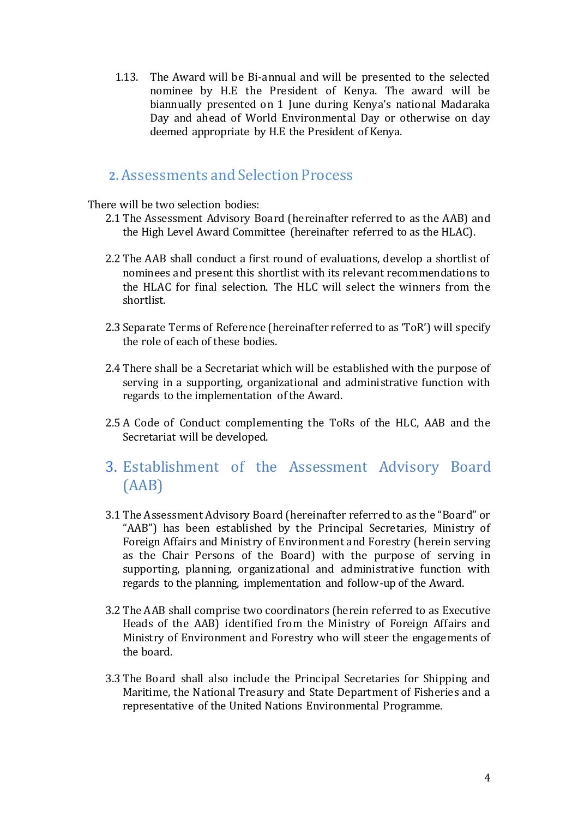1.13. The Award will be Bi-annual and will be presented to the selected nominee by H.E the President of Kenya. The award will be biannually presented on 1 June during Kenya's national Madaraka Day and ahead of World Environmental Day or otherwise on day deemed appropriate by H.E the President of Kenya.

## **2.** Assessments and Selection Process

There will be two selection bodies:

- 2.1 The Assessment Advisory Board (hereinafter referred to as the AAB) and the High Level Award Committee (hereinafter referred to as the HLAC).
- 2.2 The AAB shall conduct a first round of evaluations, develop a shortlist of nominees and present this shortlist with its relevant recommendations to the HLAC for final selection. The HLC will select the winners from the shortlist.
- 2.3 Separate Terms of Reference (hereinafter referred to as 'ToR') will specify the role of each of these bodies.
- 2.4 There shall be a Secretariat which will be established with the purpose of serving in a supporting, organizational and administrative function with regards to the implementation of the Award.
- 2.5 A Code of Conduct complementing the ToRs of the HLC, AAB and the Secretariat will be developed.
- 3. Establishment of the Assessment Advisory Board (AAB)
- 3.1 The Assessment Advisory Board (hereinafter referred to as the "Board" or "AAB") has been established by the Principal Secretaries, Ministry of Foreign Affairs and Ministry of Environment and Forestry (herein serving as the Chair Persons of the Board) with the purpose of serving in supporting, planning, organizational and administrative function with regards to the planning, implementation and follow-up of the Award.
- 3.2 The AAB shall comprise two coordinators (herein referred to as Executive Heads of the AAB) identified from the Ministry of Foreign Affairs and Ministry of Environment and Forestry who will steer the engagements of the board.
- 3.3 The Board shall also include the Principal Secretaries for Shipping and Maritime, the National Treasury and State Department of Fisheries and a representative of the United Nations Environmental Programme.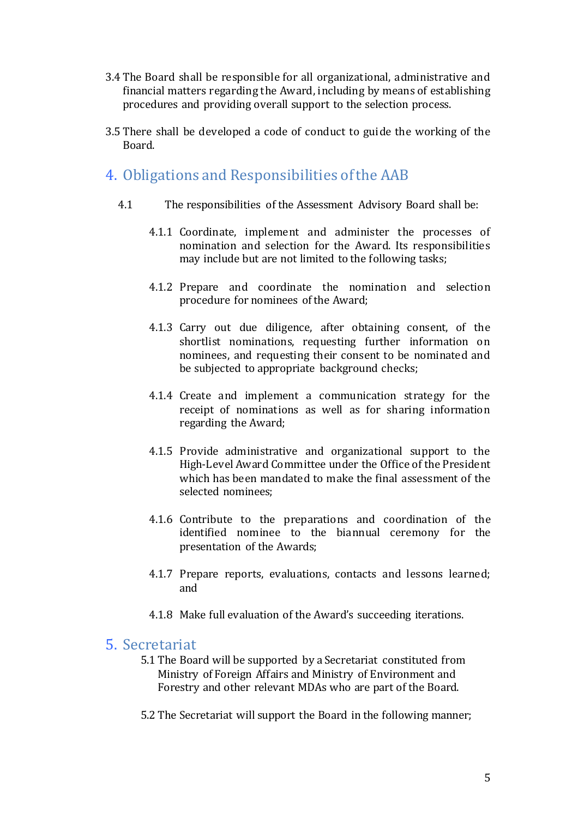- 3.4 The Board shall be responsible for all organizational, administrative and financial matters regarding the Award, including by means of establishing procedures and providing overall support to the selection process.
- 3.5 There shall be developed a code of conduct to guide the working of the Board.

## 4. Obligations and Responsibilities of the AAB

- 4.1 The responsibilities of the Assessment Advisory Board shall be:
	- 4.1.1 Coordinate, implement and administer the processes of nomination and selection for the Award. Its responsibilities may include but are not limited to the following tasks;
	- 4.1.2 Prepare and coordinate the nomination and selection procedure for nominees of the Award;
	- 4.1.3 Carry out due diligence, after obtaining consent, of the shortlist nominations, requesting further information on nominees, and requesting their consent to be nominated and be subjected to appropriate background checks;
	- 4.1.4 Create and implement a communication strategy for the receipt of nominations as well as for sharing information regarding the Award;
	- 4.1.5 Provide administrative and organizational support to the High-Level Award Committee under the Office of the President which has been mandated to make the final assessment of the selected nominees;
	- 4.1.6 Contribute to the preparations and coordination of the identified nominee to the biannual ceremony for the presentation of the Awards;
	- 4.1.7 Prepare reports, evaluations, contacts and lessons learned; and
	- 4.1.8 Make full evaluation of the Award's succeeding iterations.

#### 5. Secretariat

- 5.1 The Board will be supported by a Secretariat constituted from Ministry of Foreign Affairs and Ministry of Environment and Forestry and other relevant MDAs who are part of the Board.
- 5.2 The Secretariat will support the Board in the following manner;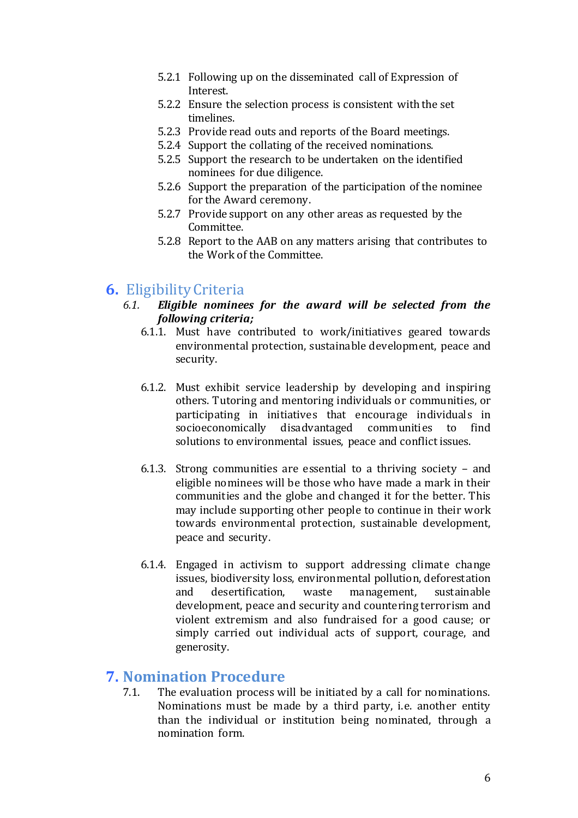- 5.2.1 Following up on the disseminated call of Expression of Interest.
- 5.2.2 Ensure the selection process is consistent with the set timelines.
- 5.2.3 Provide read outs and reports of the Board meetings.
- 5.2.4 Support the collating of the received nominations.
- 5.2.5 Support the research to be undertaken on the identified nominees for due diligence.
- 5.2.6 Support the preparation of the participation of the nominee for the Award ceremony.
- 5.2.7 Provide support on any other areas as requested by the Committee.
- 5.2.8 Report to the AAB on any matters arising that contributes to the Work of the Committee.

## **6.** Eligibility Criteria

- *6.1. Eligible nominees for the award will be selected from the following criteria;*
	- 6.1.1. Must have contributed to work/initiatives geared towards environmental protection, sustainable development, peace and security.
	- 6.1.2. Must exhibit service leadership by developing and inspiring others. Tutoring and mentoring individuals or communities, or participating in initiatives that encourage individuals in socioeconomically disadvantaged communities to find solutions to environmental issues, peace and conflict issues.
	- 6.1.3. Strong communities are essential to a thriving society and eligible nominees will be those who have made a mark in their communities and the globe and changed it for the better. This may include supporting other people to continue in their work towards environmental protection, sustainable development, peace and security.
	- 6.1.4. Engaged in activism to support addressing climate change issues, biodiversity loss, environmental pollution, deforestation and desertification, waste management, sustainable development, peace and security and countering terrorism and violent extremism and also fundraised for a good cause; or simply carried out individual acts of support, courage, and generosity.

## **7. Nomination Procedure**

7.1. The evaluation process will be initiated by a call for nominations. Nominations must be made by a third party, i.e. another entity than the individual or institution being nominated, through a nomination form.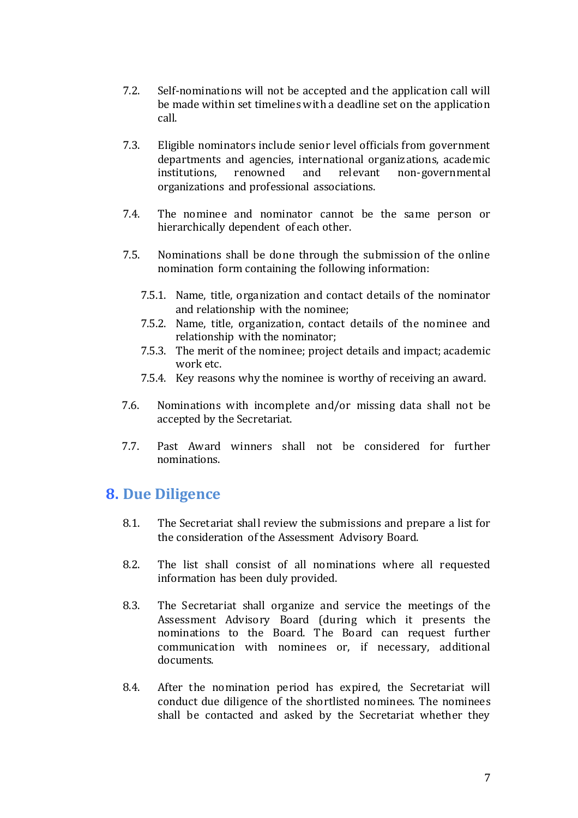- 7.2. Self-nominations will not be accepted and the application call will be made within set timelines with a deadline set on the application call.
- 7.3. Eligible nominators include senior level officials from government departments and agencies, international organizations, academic institutions, renowned and relevant non-governmental organizations and professional associations.
- 7.4. The nominee and nominator cannot be the same person or hierarchically dependent of each other.
- 7.5. Nominations shall be done through the submission of the online nomination form containing the following information:
	- 7.5.1. Name, title, organization and contact details of the nominator and relationship with the nominee;
	- 7.5.2. Name, title, organization, contact details of the nominee and relationship with the nominator;
	- 7.5.3. The merit of the nominee; project details and impact; academic work etc.
	- 7.5.4. Key reasons why the nominee is worthy of receiving an award.
- 7.6. Nominations with incomplete and/or missing data shall not be accepted by the Secretariat.
- 7.7. Past Award winners shall not be considered for further nominations.

## **8. Due Diligence**

- 8.1. The Secretariat shall review the submissions and prepare a list for the consideration of the Assessment Advisory Board.
- 8.2. The list shall consist of all nominations where all requested information has been duly provided.
- 8.3. The Secretariat shall organize and service the meetings of the Assessment Advisory Board (during which it presents the nominations to the Board. The Board can request further communication with nominees or, if necessary, additional documents.
- 8.4. After the nomination period has expired, the Secretariat will conduct due diligence of the shortlisted nominees. The nominees shall be contacted and asked by the Secretariat whether they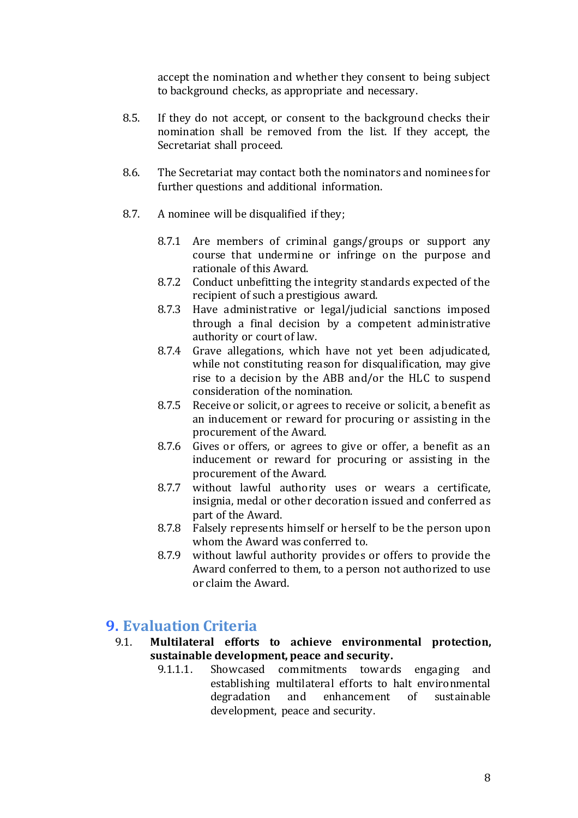accept the nomination and whether they consent to being subject to background checks, as appropriate and necessary.

- 8.5. If they do not accept, or consent to the background checks their nomination shall be removed from the list. If they accept, the Secretariat shall proceed.
- 8.6. The Secretariat may contact both the nominators and nominees for further questions and additional information.
- 8.7. A nominee will be disqualified if they;
	- 8.7.1 Are members of criminal gangs/groups or support any course that undermine or infringe on the purpose and rationale of this Award.
	- 8.7.2 Conduct unbefitting the integrity standards expected of the recipient of such a prestigious award.
	- 8.7.3 Have administrative or legal/judicial sanctions imposed through a final decision by a competent administrative authority or court of law.
	- 8.7.4 Grave allegations, which have not yet been adjudicated, while not constituting reason for disqualification, may give rise to a decision by the ABB and/or the HLC to suspend consideration of the nomination.
	- 8.7.5 Receive or solicit, or agrees to receive or solicit, a benefit as an inducement or reward for procuring or assisting in the procurement of the Award.
	- 8.7.6 Gives or offers, or agrees to give or offer, a benefit as an inducement or reward for procuring or assisting in the procurement of the Award.
	- 8.7.7 without lawful authority uses or wears a certificate, insignia, medal or other decoration issued and conferred as part of the Award.
	- 8.7.8 Falsely represents himself or herself to be the person upon whom the Award was conferred to.
	- 8.7.9 without lawful authority provides or offers to provide the Award conferred to them, to a person not authorized to use or claim the Award.

#### **9. Evaluation Criteria**

- 9.1. **Multilateral efforts to achieve environmental protection, sustainable development, peace and security.**
	- 9.1.1.1. Showcased commitments towards engaging and establishing multilateral efforts to halt environmental degradation and enhancement of sustainable development, peace and security.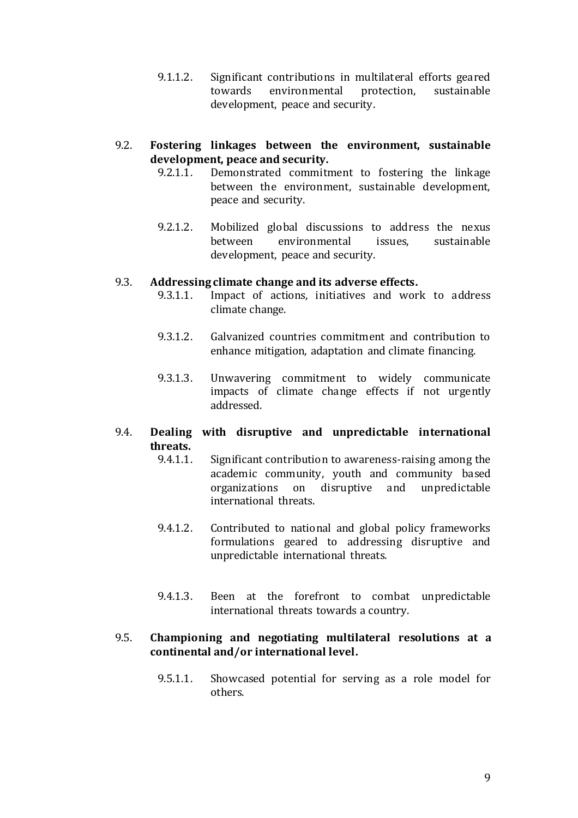9.1.1.2. Significant contributions in multilateral efforts geared towards environmental protection, sustainable development, peace and security.

#### 9.2. **Fostering linkages between the environment, sustainable development, peace and security.**

- 9.2.1.1. Demonstrated commitment to fostering the linkage between the environment, sustainable development, peace and security.
- 9.2.1.2. Mobilized global discussions to address the nexus between environmental issues, sustainable development, peace and security.

#### 9.3. **Addressing climate change and its adverse effects.**

- 9.3.1.1. Impact of actions, initiatives and work to address climate change.
- 9.3.1.2. Galvanized countries commitment and contribution to enhance mitigation, adaptation and climate financing.
- 9.3.1.3. Unwavering commitment to widely communicate impacts of climate change effects if not urgently addressed.

#### 9.4. **Dealing with disruptive and unpredictable international threats.**

- 9.4.1.1. Significant contribution to awareness-raising among the academic community, youth and community based organizations on disruptive and unpredictable international threats.
- 9.4.1.2. Contributed to national and global policy frameworks formulations geared to addressing disruptive and unpredictable international threats.
- 9.4.1.3. Been at the forefront to combat unpredictable international threats towards a country.

#### 9.5. **Championing and negotiating multilateral resolutions at a continental and/or international level.**

9.5.1.1. Showcased potential for serving as a role model for others.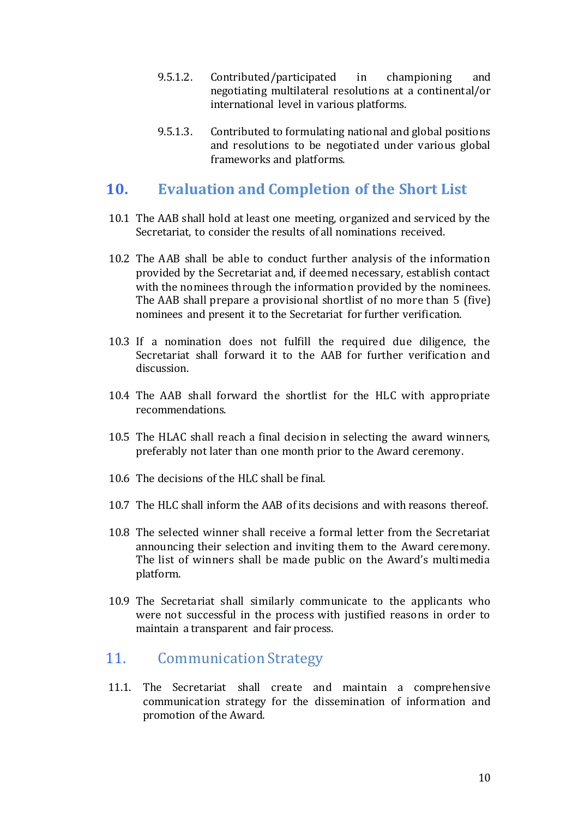- 9.5.1.2. Contributed/participated in championing and negotiating multilateral resolutions at a continental/or international level in various platforms.
- 9.5.1.3. Contributed to formulating national and global positions and resolutions to be negotiated under various global frameworks and platforms.

## **10. Evaluation and Completion of the Short List**

- 10.1 The AAB shall hold at least one meeting, organized and serviced by the Secretariat, to consider the results of all nominations received.
- 10.2 The AAB shall be able to conduct further analysis of the information provided by the Secretariat and, if deemed necessary, establish contact with the nominees through the information provided by the nominees. The AAB shall prepare a provisional shortlist of no more than 5 (five) nominees and present it to the Secretariat for further verification.
- 10.3 If a nomination does not fulfill the required due diligence, the Secretariat shall forward it to the AAB for further verification and discussion.
- 10.4 The AAB shall forward the shortlist for the HLC with appropriate recommendations.
- 10.5 The HLAC shall reach a final decision in selecting the award winners, preferably not later than one month prior to the Award ceremony.
- 10.6 The decisions of the HLC shall be final.
- 10.7 The HLC shall inform the AAB of its decisions and with reasons thereof.
- 10.8 The selected winner shall receive a formal letter from the Secretariat announcing their selection and inviting them to the Award ceremony. The list of winners shall be made public on the Award's multimedia platform.
- 10.9 The Secretariat shall similarly communicate to the applicants who were not successful in the process with justified reasons in order to maintain a transparent and fair process.

#### 11. Communication Strategy

11.1. The Secretariat shall create and maintain a comprehensive communication strategy for the dissemination of information and promotion of the Award.